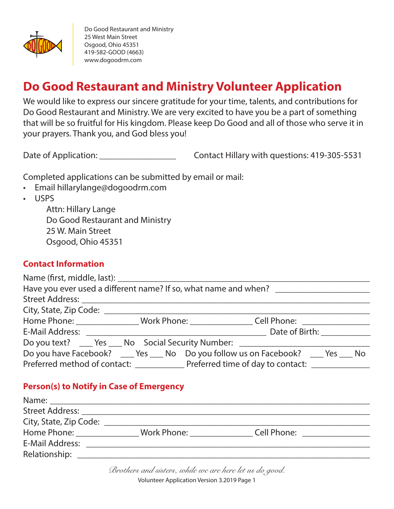

# **Do Good Restaurant and Ministry Volunteer Application**

We would like to express our sincere gratitude for your time, talents, and contributions for Do Good Restaurant and Ministry. We are very excited to have you be a part of something that will be so fruitful for His kingdom. Please keep Do Good and all of those who serve it in your prayers. Thank you, and God bless you!

Date of Application: <u>Date of Application:</u> Contact Hillary with questions: 419-305-5531

Completed applications can be submitted by email or mail:

- Email hillarylange@dogoodrm.com
- USPS

Attn: Hillary Lange Do Good Restaurant and Ministry 25 W. Main Street Osgood, Ohio 45351

# **Contact Information**

|  |  | Have you ever used a different name? If so, what name and when? ________________                     |  |
|--|--|------------------------------------------------------------------------------------------------------|--|
|  |  |                                                                                                      |  |
|  |  |                                                                                                      |  |
|  |  | Home Phone: __________________Work Phone: ___________________Cell Phone: ___________________________ |  |
|  |  | E-Mail Address: Date of Birth: Date of Birth:                                                        |  |
|  |  | Do you text? ______ Yes _____ No Social Security Number: _______________________                     |  |
|  |  | Do you have Facebook? _____ Yes _____ No Do you follow us on Facebook? _____ Yes _____ No            |  |
|  |  | Preferred method of contact: _________________ Preferred time of day to contact: __________________  |  |

# **Person(s) to Notify in Case of Emergency**

| Work Phone: | Cell Phone: |  |
|-------------|-------------|--|
|             |             |  |
|             |             |  |
|             |             |  |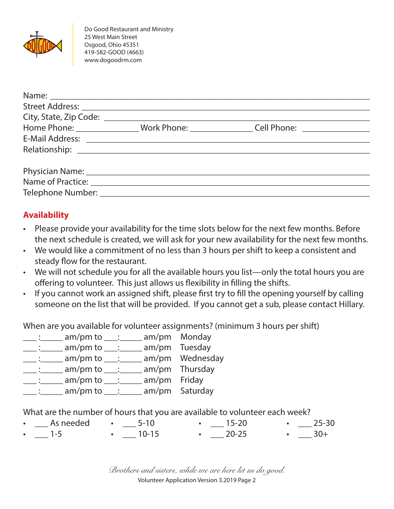

|                                   | Home Phone: ________________Work Phone: ___________________Cell Phone: __________ |  |
|-----------------------------------|-----------------------------------------------------------------------------------|--|
|                                   |                                                                                   |  |
|                                   |                                                                                   |  |
|                                   |                                                                                   |  |
|                                   |                                                                                   |  |
|                                   |                                                                                   |  |
| Telephone Number: _______________ |                                                                                   |  |

# **Availability**

- Please provide your availability for the time slots below for the next few months. Before the next schedule is created, we will ask for your new availability for the next few months.
- We would like a commitment of no less than 3 hours per shift to keep a consistent and steady flow for the restaurant.
- We will not schedule you for all the available hours you list—only the total hours you are offering to volunteer. This just allows us flexibility in filling the shifts.
- If you cannot work an assigned shift, please first try to fill the opening yourself by calling someone on the list that will be provided. If you cannot get a sub, please contact Hillary.

When are you available for volunteer assignments? (minimum 3 hours per shift)

- $\frac{1}{\sqrt{2}}$ :  $\frac{1}{\sqrt{2}}$  am/pm to  $\frac{1}{\sqrt{2}}$ :  $\frac{1}{\sqrt{2}}$  am/pm Monday
- \_\_\_\_ :\_\_\_\_\_\_ am/pm to \_\_\_\_ :\_\_\_\_\_\_ am/pm Tuesday

 $\frac{1}{\sqrt{2}}$ : am/pm to  $\frac{1}{\sqrt{2}}$  am/pm Wednesday

- $\underline{\hspace{1cm}}$ :  $\underline{\hspace{1cm}}$  am/pm to  $\underline{\hspace{1cm}}$ :  $\underline{\hspace{1cm}}$  am/pm Thursday
- $\frac{1}{2}$ : \_\_\_\_\_ am/pm to \_\_\_: \_\_\_\_ am/pm Friday
- $\frac{1}{1}$ : am/pm to  $\frac{1}{1}$ : am/pm Saturday

What are the number of hours that you are available to volunteer each week?

 $\_\_$  As needed •  $1-5$ •  $\_\_$  5-10  $\cdot$  10-15  $\frac{15-20}{2}$  $\cdot$  20-25  $- 25 - 30$  $-30+$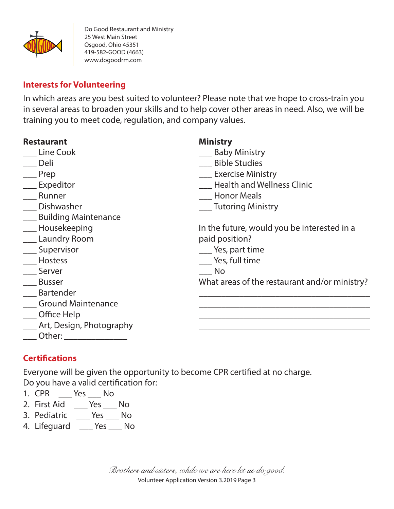

#### **Interests for Volunteering**

In which areas are you best suited to volunteer? Please note that we hope to cross-train you in several areas to broaden your skills and to help cover other areas in need. Also, we will be training you to meet code, regulation, and company values.

| <b>Restaurant</b>            | <b>Ministry</b>                               |
|------------------------------|-----------------------------------------------|
| Line Cook                    | <b>Baby Ministry</b>                          |
| Deli                         | <b>Bible Studies</b>                          |
| Prep                         | ___ Exercise Ministry                         |
| Expeditor                    | <b>Health and Wellness Clinic</b>             |
| Runner                       | <b>Honor Meals</b>                            |
| Dishwasher                   | Tutoring Ministry                             |
| ___ Building Maintenance     |                                               |
| ___ Housekeeping             | In the future, would you be interested in a   |
| __ Laundry Room              | paid position?                                |
| ___ Supervisor               | Yes, part time                                |
| Hostess                      | Yes, full time                                |
| Server                       | No.                                           |
| <b>Busser</b>                | What areas of the restaurant and/or ministry? |
| Bartender                    |                                               |
| Ground Maintenance           |                                               |
| ___ Office Help              |                                               |
| ___ Art, Design, Photography |                                               |
| $\_$ Other: $\_$             |                                               |

# **Certifications**

Everyone will be given the opportunity to become CPR certified at no charge. Do you have a valid certification for:

- 1. CPR \_\_\_ Yes \_\_\_ No
- 2. First Aid \_\_\_ Yes \_\_\_ No
- 3. Pediatric \_\_\_ Yes \_\_\_ No
- 4. Lifeguard \_\_\_ Yes \_\_\_ No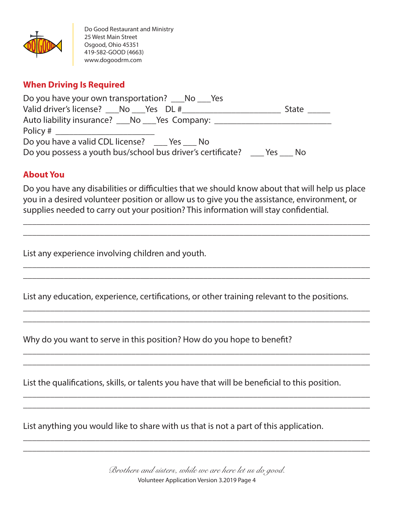

#### **When Driving Is Required**

| Do you have your own transportation? No Ses                                   |       |  |  |  |
|-------------------------------------------------------------------------------|-------|--|--|--|
| Valid driver's license? ___No ___Yes DL #______                               | State |  |  |  |
| Auto liability insurance? ___No ___Yes Company: _______                       |       |  |  |  |
|                                                                               |       |  |  |  |
| Do you have a valid CDL license? _____ Yes ____ No                            |       |  |  |  |
| Do you possess a youth bus/school bus driver's certificate? _____ Yes ____ No |       |  |  |  |

#### **About You**

Do you have any disabilities or difficulties that we should know about that will help us place you in a desired volunteer position or allow us to give you the assistance, environment, or supplies needed to carry out your position? This information will stay confidential.

\_\_\_\_\_\_\_\_\_\_\_\_\_\_\_\_\_\_\_\_\_\_\_\_\_\_\_\_\_\_\_\_\_\_\_\_\_\_\_\_\_\_\_\_\_\_\_\_\_\_\_\_\_\_\_\_\_\_\_\_\_\_\_\_\_\_\_\_\_\_\_\_\_\_\_\_\_ \_\_\_\_\_\_\_\_\_\_\_\_\_\_\_\_\_\_\_\_\_\_\_\_\_\_\_\_\_\_\_\_\_\_\_\_\_\_\_\_\_\_\_\_\_\_\_\_\_\_\_\_\_\_\_\_\_\_\_\_\_\_\_\_\_\_\_\_\_\_\_\_\_\_\_\_\_

\_\_\_\_\_\_\_\_\_\_\_\_\_\_\_\_\_\_\_\_\_\_\_\_\_\_\_\_\_\_\_\_\_\_\_\_\_\_\_\_\_\_\_\_\_\_\_\_\_\_\_\_\_\_\_\_\_\_\_\_\_\_\_\_\_\_\_\_\_\_\_\_\_\_\_\_\_ \_\_\_\_\_\_\_\_\_\_\_\_\_\_\_\_\_\_\_\_\_\_\_\_\_\_\_\_\_\_\_\_\_\_\_\_\_\_\_\_\_\_\_\_\_\_\_\_\_\_\_\_\_\_\_\_\_\_\_\_\_\_\_\_\_\_\_\_\_\_\_\_\_\_\_\_\_

\_\_\_\_\_\_\_\_\_\_\_\_\_\_\_\_\_\_\_\_\_\_\_\_\_\_\_\_\_\_\_\_\_\_\_\_\_\_\_\_\_\_\_\_\_\_\_\_\_\_\_\_\_\_\_\_\_\_\_\_\_\_\_\_\_\_\_\_\_\_\_\_\_\_\_\_\_ \_\_\_\_\_\_\_\_\_\_\_\_\_\_\_\_\_\_\_\_\_\_\_\_\_\_\_\_\_\_\_\_\_\_\_\_\_\_\_\_\_\_\_\_\_\_\_\_\_\_\_\_\_\_\_\_\_\_\_\_\_\_\_\_\_\_\_\_\_\_\_\_\_\_\_\_\_

\_\_\_\_\_\_\_\_\_\_\_\_\_\_\_\_\_\_\_\_\_\_\_\_\_\_\_\_\_\_\_\_\_\_\_\_\_\_\_\_\_\_\_\_\_\_\_\_\_\_\_\_\_\_\_\_\_\_\_\_\_\_\_\_\_\_\_\_\_\_\_\_\_\_\_\_\_ \_\_\_\_\_\_\_\_\_\_\_\_\_\_\_\_\_\_\_\_\_\_\_\_\_\_\_\_\_\_\_\_\_\_\_\_\_\_\_\_\_\_\_\_\_\_\_\_\_\_\_\_\_\_\_\_\_\_\_\_\_\_\_\_\_\_\_\_\_\_\_\_\_\_\_\_\_

\_\_\_\_\_\_\_\_\_\_\_\_\_\_\_\_\_\_\_\_\_\_\_\_\_\_\_\_\_\_\_\_\_\_\_\_\_\_\_\_\_\_\_\_\_\_\_\_\_\_\_\_\_\_\_\_\_\_\_\_\_\_\_\_\_\_\_\_\_\_\_\_\_\_\_\_\_ \_\_\_\_\_\_\_\_\_\_\_\_\_\_\_\_\_\_\_\_\_\_\_\_\_\_\_\_\_\_\_\_\_\_\_\_\_\_\_\_\_\_\_\_\_\_\_\_\_\_\_\_\_\_\_\_\_\_\_\_\_\_\_\_\_\_\_\_\_\_\_\_\_\_\_\_\_

\_\_\_\_\_\_\_\_\_\_\_\_\_\_\_\_\_\_\_\_\_\_\_\_\_\_\_\_\_\_\_\_\_\_\_\_\_\_\_\_\_\_\_\_\_\_\_\_\_\_\_\_\_\_\_\_\_\_\_\_\_\_\_\_\_\_\_\_\_\_\_\_\_\_\_\_\_ \_\_\_\_\_\_\_\_\_\_\_\_\_\_\_\_\_\_\_\_\_\_\_\_\_\_\_\_\_\_\_\_\_\_\_\_\_\_\_\_\_\_\_\_\_\_\_\_\_\_\_\_\_\_\_\_\_\_\_\_\_\_\_\_\_\_\_\_\_\_\_\_\_\_\_\_\_

List any experience involving children and youth.

List any education, experience, certifications, or other training relevant to the positions.

Why do you want to serve in this position? How do you hope to benefit?

List the qualifications, skills, or talents you have that will be beneficial to this position.

List anything you would like to share with us that is not a part of this application.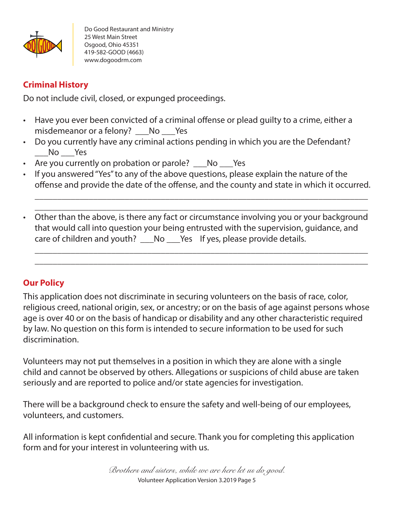

### **Criminal History**

Do not include civil, closed, or expunged proceedings.

- Have you ever been convicted of a criminal offense or plead guilty to a crime, either a misdemeanor or a felony? No Yes
- Do you currently have any criminal actions pending in which you are the Defendant? \_\_\_No \_\_\_Yes
- Are you currently on probation or parole? No Yes
- If you answered "Yes" to any of the above questions, please explain the nature of the offense and provide the date of the offense, and the county and state in which it occurred.

\_\_\_\_\_\_\_\_\_\_\_\_\_\_\_\_\_\_\_\_\_\_\_\_\_\_\_\_\_\_\_\_\_\_\_\_\_\_\_\_\_\_\_\_\_\_\_\_\_\_\_\_\_\_\_\_\_\_\_\_\_\_\_\_\_\_\_\_\_\_\_\_\_\_ \_\_\_\_\_\_\_\_\_\_\_\_\_\_\_\_\_\_\_\_\_\_\_\_\_\_\_\_\_\_\_\_\_\_\_\_\_\_\_\_\_\_\_\_\_\_\_\_\_\_\_\_\_\_\_\_\_\_\_\_\_\_\_\_\_\_\_\_\_\_\_\_\_\_

• Other than the above, is there any fact or circumstance involving you or your background that would call into question your being entrusted with the supervision, guidance, and care of children and youth? \_\_\_No \_\_\_Yes If yes, please provide details.

\_\_\_\_\_\_\_\_\_\_\_\_\_\_\_\_\_\_\_\_\_\_\_\_\_\_\_\_\_\_\_\_\_\_\_\_\_\_\_\_\_\_\_\_\_\_\_\_\_\_\_\_\_\_\_\_\_\_\_\_\_\_\_\_\_\_\_\_\_\_\_\_\_\_ \_\_\_\_\_\_\_\_\_\_\_\_\_\_\_\_\_\_\_\_\_\_\_\_\_\_\_\_\_\_\_\_\_\_\_\_\_\_\_\_\_\_\_\_\_\_\_\_\_\_\_\_\_\_\_\_\_\_\_\_\_\_\_\_\_\_\_\_\_\_\_\_\_\_

#### **Our Policy**

This application does not discriminate in securing volunteers on the basis of race, color, religious creed, national origin, sex, or ancestry; or on the basis of age against persons whose age is over 40 or on the basis of handicap or disability and any other characteristic required by law. No question on this form is intended to secure information to be used for such discrimination.

Volunteers may not put themselves in a position in which they are alone with a single child and cannot be observed by others. Allegations or suspicions of child abuse are taken seriously and are reported to police and/or state agencies for investigation.

There will be a background check to ensure the safety and well-being of our employees, volunteers, and customers.

All information is kept confidential and secure. Thank you for completing this application form and for your interest in volunteering with us.